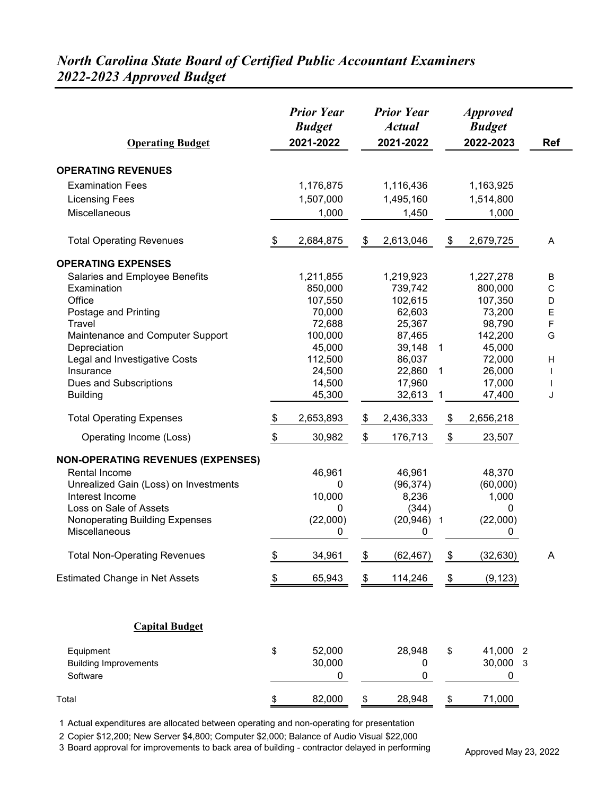#### *North Carolina State Board of Certified Public Accountant Examiners 2022-2023 Approved Budget*

| <b>Operating Budget</b>                                                                                                                                                                                   | <b>Prior Year</b><br><b>Budget</b><br>2021-2022 |                                             |                                           |                                                             |              | <b>Approved</b><br><b>Budget</b><br>2022-2023     | <b>Ref</b> |
|-----------------------------------------------------------------------------------------------------------------------------------------------------------------------------------------------------------|-------------------------------------------------|---------------------------------------------|-------------------------------------------|-------------------------------------------------------------|--------------|---------------------------------------------------|------------|
| <b>OPERATING REVENUES</b>                                                                                                                                                                                 |                                                 |                                             |                                           |                                                             |              |                                                   |            |
| <b>Examination Fees</b>                                                                                                                                                                                   |                                                 | 1,176,875                                   |                                           | 1,116,436                                                   |              | 1,163,925                                         |            |
| <b>Licensing Fees</b>                                                                                                                                                                                     |                                                 | 1,507,000                                   |                                           | 1,495,160                                                   |              | 1,514,800                                         |            |
| Miscellaneous                                                                                                                                                                                             |                                                 | 1,000                                       |                                           | 1,450                                                       |              | 1,000                                             |            |
|                                                                                                                                                                                                           |                                                 |                                             |                                           |                                                             |              |                                                   |            |
| <b>Total Operating Revenues</b>                                                                                                                                                                           | \$                                              | 2,684,875                                   | \$                                        | 2,613,046                                                   | \$           | 2,679,725                                         | Α          |
| <b>OPERATING EXPENSES</b>                                                                                                                                                                                 |                                                 |                                             |                                           |                                                             |              |                                                   |            |
| Salaries and Employee Benefits                                                                                                                                                                            |                                                 | 1,211,855                                   |                                           | 1,219,923                                                   |              | 1,227,278                                         | B          |
| Examination                                                                                                                                                                                               |                                                 | 850,000                                     |                                           | 739,742                                                     |              | 800,000                                           | C          |
| Office                                                                                                                                                                                                    |                                                 | 107,550                                     |                                           | 102,615                                                     |              | 107,350                                           | D          |
| Postage and Printing                                                                                                                                                                                      |                                                 | 70,000                                      |                                           | 62,603                                                      |              | 73,200                                            | E          |
| Travel                                                                                                                                                                                                    |                                                 | 72,688                                      |                                           | 25,367                                                      |              | 98,790                                            | F          |
| Maintenance and Computer Support                                                                                                                                                                          |                                                 | 100,000                                     |                                           | 87,465                                                      |              | 142,200                                           | G          |
| Depreciation                                                                                                                                                                                              |                                                 | 45,000                                      |                                           | 39,148                                                      | $\mathbf{1}$ | 45,000                                            |            |
| Legal and Investigative Costs<br>Insurance                                                                                                                                                                |                                                 | 112,500                                     |                                           | 86,037                                                      |              | 72,000                                            | н          |
|                                                                                                                                                                                                           |                                                 | 24,500<br>14,500                            |                                           | 22,860                                                      | $\mathbf 1$  | 26,000<br>17,000                                  |            |
| Dues and Subscriptions<br><b>Building</b>                                                                                                                                                                 |                                                 | 45,300                                      |                                           | 17,960<br>32,613                                            | 1            | 47,400                                            | J          |
| <b>Total Operating Expenses</b>                                                                                                                                                                           | \$                                              | 2,653,893                                   | \$                                        | 2,436,333                                                   | \$           | 2,656,218                                         |            |
| Operating Income (Loss)                                                                                                                                                                                   | \$                                              | 30,982                                      | \$                                        | 176,713                                                     | \$           | 23,507                                            |            |
| <b>NON-OPERATING REVENUES (EXPENSES)</b><br><b>Rental Income</b><br>Unrealized Gain (Loss) on Investments<br>Interest Income<br>Loss on Sale of Assets<br>Nonoperating Building Expenses<br>Miscellaneous |                                                 | 46,961<br>0<br>10,000<br>0<br>(22,000)<br>0 |                                           | 46,961<br>(96, 374)<br>8,236<br>(344)<br>$(20, 946)$ 1<br>0 |              | 48,370<br>(60,000)<br>1,000<br>0<br>(22,000)<br>0 |            |
| <b>Total Non-Operating Revenues</b>                                                                                                                                                                       | \$                                              | 34,961                                      | $\, \, \raisebox{12pt}{$\scriptstyle \$}$ | (62, 467)                                                   | \$           | (32, 630)                                         | A          |
| <b>Estimated Change in Net Assets</b>                                                                                                                                                                     | \$                                              | 65,943                                      | \$                                        | 114,246                                                     | \$           | (9, 123)                                          |            |
| <b>Capital Budget</b>                                                                                                                                                                                     |                                                 |                                             |                                           |                                                             |              |                                                   |            |
| Equipment<br><b>Building Improvements</b><br>Software                                                                                                                                                     | \$                                              | 52,000<br>30,000<br>0                       |                                           | 28,948<br>0<br>0                                            | \$           | 41,000 2<br>30,000 3<br>0                         |            |
| Total                                                                                                                                                                                                     | \$                                              | 82,000                                      | \$                                        | 28,948                                                      | \$           | 71,000                                            |            |

1 Actual expenditures are allocated between operating and non-operating for presentation

2 Copier \$12,200; New Server \$4,800; Computer \$2,000; Balance of Audio Visual \$22,000

3 Board approval for improvements to back area of building - contractor delayed in performing Approved May 23, 2022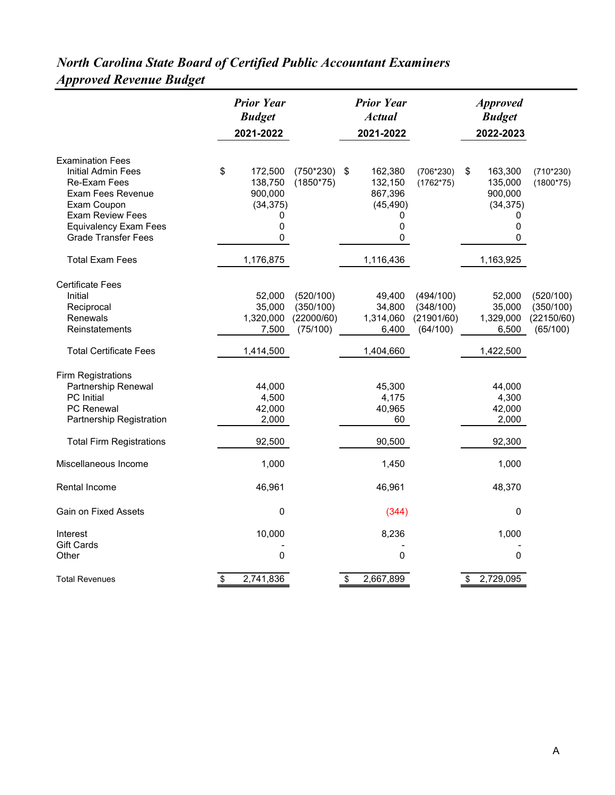#### *North Carolina State Board of Certified Public Accountant Examiners Approved Revenue Budget*

|                                                                                                                                                                                                   | <b>Prior Year</b><br><b>Budget</b><br>2021-2022                 |                                                  | <b>Prior Year</b><br><b>Actual</b><br>2021-2022           |                                                  | <b>Approved</b><br><b>Budget</b><br>2022-2023                   |                                                  |
|---------------------------------------------------------------------------------------------------------------------------------------------------------------------------------------------------|-----------------------------------------------------------------|--------------------------------------------------|-----------------------------------------------------------|--------------------------------------------------|-----------------------------------------------------------------|--------------------------------------------------|
| <b>Examination Fees</b><br>Initial Admin Fees<br><b>Re-Exam Fees</b><br>Exam Fees Revenue<br>Exam Coupon<br><b>Exam Review Fees</b><br><b>Equivalency Exam Fees</b><br><b>Grade Transfer Fees</b> | \$<br>172,500<br>138,750<br>900,000<br>(34, 375)<br>0<br>0<br>0 | $(750*230)$ \$<br>$(1850*75)$                    | 162,380<br>132,150<br>867,396<br>(45, 490)<br>0<br>0<br>0 | $(706*230)$<br>$(1762*75)$                       | \$<br>163,300<br>135,000<br>900,000<br>(34, 375)<br>0<br>0<br>0 | $(710*230)$<br>$(1800*75)$                       |
| <b>Total Exam Fees</b>                                                                                                                                                                            | 1,176,875                                                       |                                                  | 1,116,436                                                 |                                                  | 1,163,925                                                       |                                                  |
| <b>Certificate Fees</b><br><b>Initial</b><br>Reciprocal<br><b>Renewals</b><br>Reinstatements<br><b>Total Certificate Fees</b>                                                                     | 52,000<br>35,000<br>1,320,000<br>7,500<br>1,414,500             | (520/100)<br>(350/100)<br>(22000/60)<br>(75/100) | 49,400<br>34,800<br>1,314,060<br>6,400<br>1,404,660       | (494/100)<br>(348/100)<br>(21901/60)<br>(64/100) | 52,000<br>35,000<br>1,329,000<br>6,500<br>1,422,500             | (520/100)<br>(350/100)<br>(22150/60)<br>(65/100) |
| <b>Firm Registrations</b><br>Partnership Renewal<br><b>PC</b> Initial<br><b>PC Renewal</b><br>Partnership Registration                                                                            | 44,000<br>4,500<br>42,000<br>2,000                              |                                                  | 45,300<br>4,175<br>40,965<br>60                           |                                                  | 44,000<br>4,300<br>42,000<br>2,000                              |                                                  |
| <b>Total Firm Registrations</b>                                                                                                                                                                   | 92,500                                                          |                                                  | 90,500                                                    |                                                  | 92,300                                                          |                                                  |
| Miscellaneous Income                                                                                                                                                                              | 1,000                                                           |                                                  | 1,450                                                     |                                                  | 1,000                                                           |                                                  |
| Rental Income                                                                                                                                                                                     | 46,961                                                          |                                                  | 46,961                                                    |                                                  | 48,370                                                          |                                                  |
| <b>Gain on Fixed Assets</b>                                                                                                                                                                       | 0                                                               |                                                  | (344)                                                     |                                                  | 0                                                               |                                                  |
| Interest<br><b>Gift Cards</b><br>Other                                                                                                                                                            | 10,000<br>0                                                     |                                                  | 8,236<br>0                                                |                                                  | 1,000<br>0                                                      |                                                  |
| <b>Total Revenues</b>                                                                                                                                                                             | \$<br>2,741,836                                                 |                                                  | \$<br>2,667,899                                           |                                                  | \$<br>2,729,095                                                 |                                                  |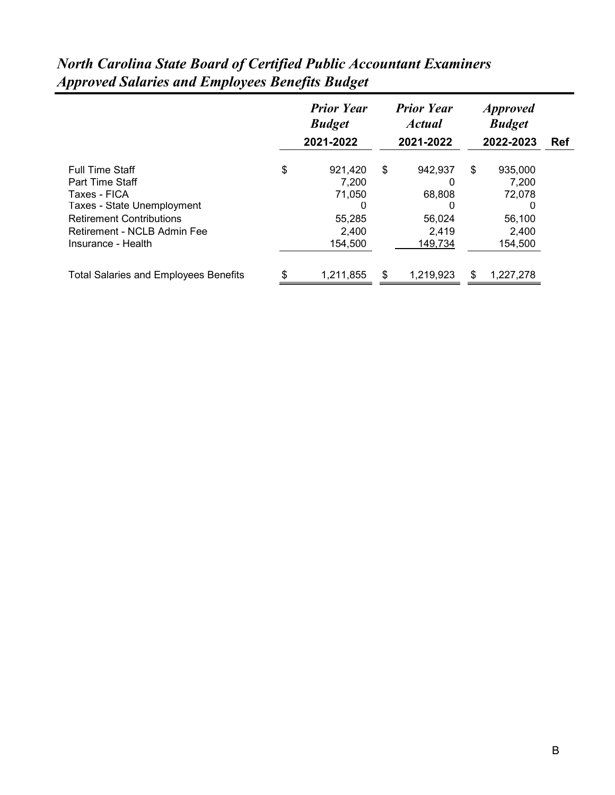#### *North Carolina State Board of Certified Public Accountant Examiners Approved Salaries and Employees Benefits Budget Prior Year Prior Year Approved Budget Actual Budget*

|                                              | <b>Budget</b> |           | <i><b>Actual</b></i> |           | <b>Budget</b> |  |
|----------------------------------------------|---------------|-----------|----------------------|-----------|---------------|--|
|                                              | 2021-2022     |           | 2021-2022            | 2022-2023 | Ref           |  |
|                                              |               |           |                      |           |               |  |
| <b>Full Time Staff</b>                       | \$            | 921,420   | \$<br>942,937        | \$        | 935,000       |  |
| Part Time Staff                              |               | 7,200     | 0                    |           | 7,200         |  |
| Taxes - FICA                                 |               | 71,050    | 68,808               |           | 72,078        |  |
| Taxes - State Unemployment                   |               | O         | O                    |           | 0             |  |
| <b>Retirement Contributions</b>              |               | 55,285    | 56,024               |           | 56,100        |  |
| Retirement - NCLB Admin Fee                  |               | 2,400     | 2.419                |           | 2,400         |  |
| Insurance - Health                           |               | 154,500   | 149,734              |           | 154,500       |  |
| <b>Total Salaries and Employees Benefits</b> | \$            | 1,211,855 | \$<br>1,219,923      | \$        | 1,227,278     |  |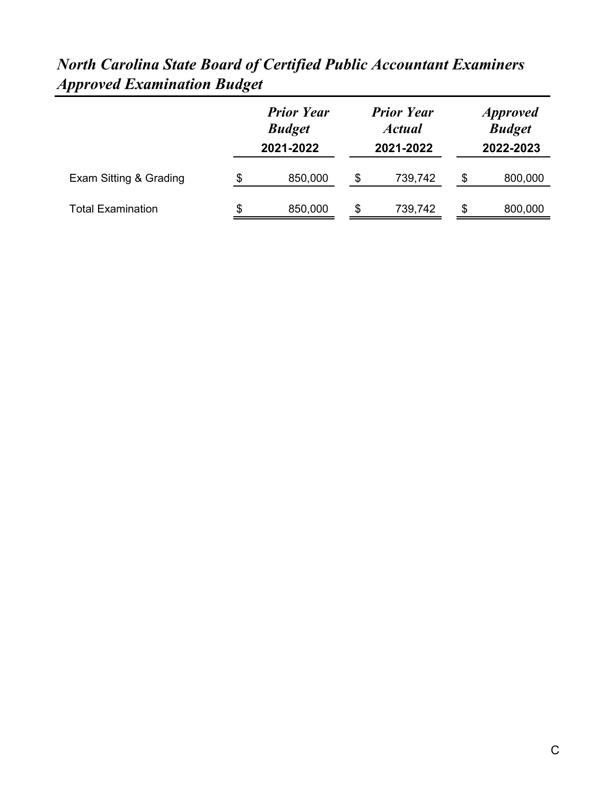| rviin Curvinu Diuit Douru of Cerificu I hone Aleonnium Diuminiers<br><b>Approved Examination Budget</b> |                   |                   |                 |
|---------------------------------------------------------------------------------------------------------|-------------------|-------------------|-----------------|
|                                                                                                         | <b>Prior Year</b> | <b>Prior Year</b> | <i>Approved</i> |
|                                                                                                         | Rudgot            | Actual            | Rudgot          |

| <b>North Carolina State Board of Certified Public Accountant Examiners</b> |  |  |
|----------------------------------------------------------------------------|--|--|
| <b>Approved Examination Budget</b>                                         |  |  |

|                          | <b>Budget</b> |   | <b>Actual</b> |           | <b>Budget</b> |  |
|--------------------------|---------------|---|---------------|-----------|---------------|--|
|                          | 2021-2022     |   | 2021-2022     | 2022-2023 |               |  |
| Exam Sitting & Grading   | \$<br>850,000 | S | 739,742       | \$        | 800,000       |  |
| <b>Total Examination</b> | \$<br>850,000 | S | 739,742       | \$.       | 800,000       |  |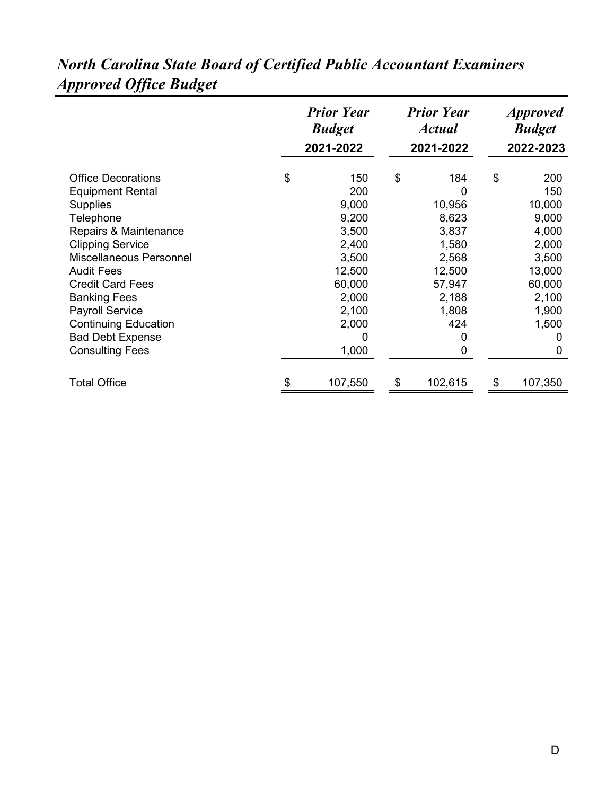|                                                                                                                                                                                                                                                                                                                                                          | <b>Prior Year</b><br><b>Budget</b><br>2021-2022 |                                                                                                                      |    | <b>Prior Year</b><br><b>Actual</b><br>2021-2022                                                               | <i><b>Approved</b></i><br><b>Budget</b><br>2022-2023 |                                                                                                                          |
|----------------------------------------------------------------------------------------------------------------------------------------------------------------------------------------------------------------------------------------------------------------------------------------------------------------------------------------------------------|-------------------------------------------------|----------------------------------------------------------------------------------------------------------------------|----|---------------------------------------------------------------------------------------------------------------|------------------------------------------------------|--------------------------------------------------------------------------------------------------------------------------|
| <b>Office Decorations</b><br><b>Equipment Rental</b><br><b>Supplies</b><br>Telephone<br>Repairs & Maintenance<br><b>Clipping Service</b><br>Miscellaneous Personnel<br><b>Audit Fees</b><br><b>Credit Card Fees</b><br><b>Banking Fees</b><br><b>Payroll Service</b><br><b>Continuing Education</b><br><b>Bad Debt Expense</b><br><b>Consulting Fees</b> | \$                                              | 150<br>200<br>9,000<br>9,200<br>3,500<br>2,400<br>3,500<br>12,500<br>60,000<br>2,000<br>2,100<br>2,000<br>0<br>1,000 | \$ | 184<br>0<br>10,956<br>8,623<br>3,837<br>1,580<br>2,568<br>12,500<br>57,947<br>2,188<br>1,808<br>424<br>0<br>0 | \$                                                   | 200<br>150<br>10,000<br>9,000<br>4,000<br>2,000<br>3,500<br>13,000<br>60,000<br>2,100<br>1,900<br>1,500<br>0<br>$\Omega$ |
| <b>Total Office</b>                                                                                                                                                                                                                                                                                                                                      | \$                                              | 107,550                                                                                                              | \$ | 102,615                                                                                                       | \$                                                   | 107,350                                                                                                                  |

## *North Carolina State Board of Certified Public Accountant Examiners Approved Office Budget*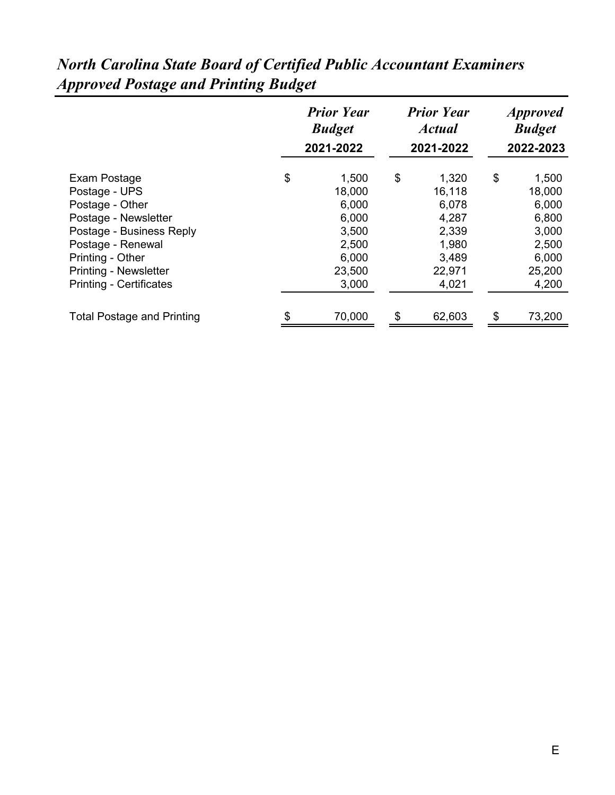| <b>Budget</b> |                                                   | <b>Actual</b> | <i><b>Approved</b></i><br><b>Budget</b><br>2022-2023 |          |  |
|---------------|---------------------------------------------------|---------------|------------------------------------------------------|----------|--|
|               |                                                   |               |                                                      | 1,500    |  |
| 18,000        |                                                   | 16,118        |                                                      | 18,000   |  |
| 6,000         |                                                   | 6,078         |                                                      | 6,000    |  |
| 6,000         |                                                   | 4,287         |                                                      | 6,800    |  |
| 3,500         |                                                   | 2,339         |                                                      | 3,000    |  |
| 2,500         |                                                   | 1,980         |                                                      | 2,500    |  |
| 6,000         |                                                   | 3,489         |                                                      | 6,000    |  |
| 23,500        |                                                   | 22,971        |                                                      | 25,200   |  |
| 3,000         |                                                   | 4,021         |                                                      | 4,200    |  |
|               |                                                   |               |                                                      | 73,200   |  |
| \$<br>\$      | <b>Prior Year</b><br>2021-2022<br>1,500<br>70,000 | \$<br>\$      | <b>Prior Year</b><br>2021-2022<br>1,320<br>62,603    | \$<br>\$ |  |

## *North Carolina State Board of Certified Public Accountant Examiners Approved Postage and Printing Budget*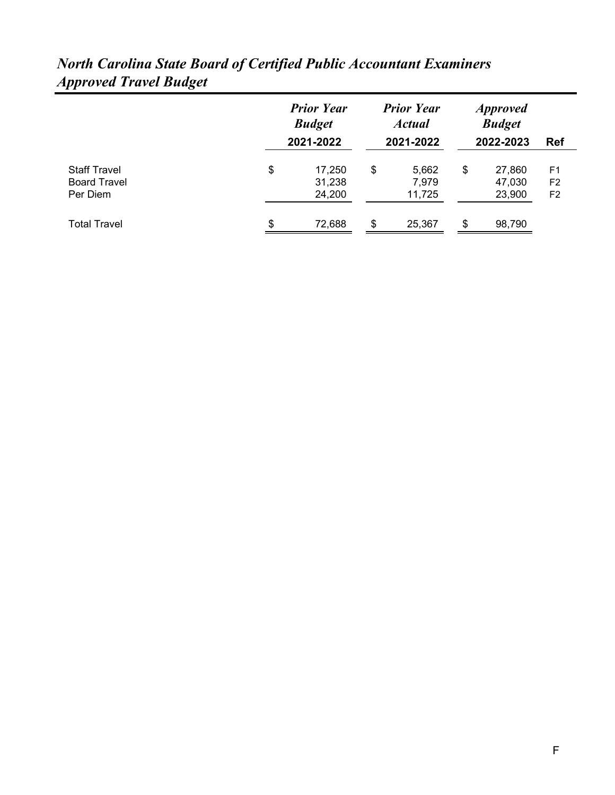|                                                        | <b>Prior Year</b><br><b>Budget</b><br>2021-2022 | <b>Prior Year</b><br><b>Actual</b><br>2021-2022 | <i>Approved</i><br><b>Budget</b><br>2022-2023 | <b>Ref</b>                 |                                                    |
|--------------------------------------------------------|-------------------------------------------------|-------------------------------------------------|-----------------------------------------------|----------------------------|----------------------------------------------------|
| <b>Staff Travel</b><br><b>Board Travel</b><br>Per Diem | \$<br>17,250<br>31,238<br>24,200                | \$<br>5,662<br>7,979<br>11,725                  | \$                                            | 27,860<br>47,030<br>23,900 | F <sub>1</sub><br>F <sub>2</sub><br>F <sub>2</sub> |
| Total Travel                                           | \$<br>72,688                                    | \$<br>25,367                                    | \$                                            | 98,790                     |                                                    |

#### *North Carolina State Board of Certified Public Accountant Examiners Approved Travel Budget*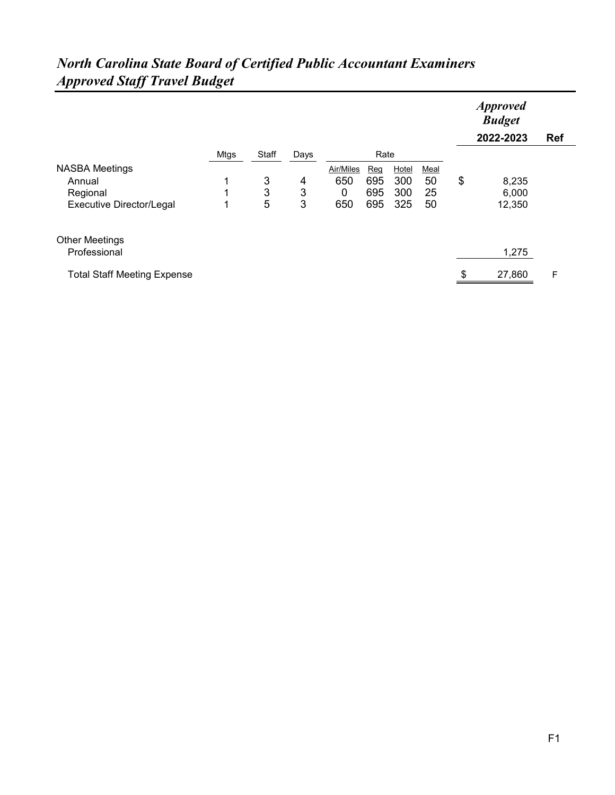| $1.4$ pp. 07 cm $\omega$ and $\mu$ is a model $\omega$ |             |       |      |           |     |       |      |                                               |            |
|--------------------------------------------------------|-------------|-------|------|-----------|-----|-------|------|-----------------------------------------------|------------|
|                                                        |             |       |      |           |     |       |      | <b>Approved</b><br><b>Budget</b><br>2022-2023 | <b>Ref</b> |
|                                                        | <b>Mtgs</b> | Staff | Days | Rate      |     |       |      |                                               |            |
| <b>NASBA Meetings</b>                                  |             |       |      | Air/Miles | Reg | Hotel | Meal |                                               |            |
| Annual                                                 | 1           | 3     | 4    | 650       | 695 | 300   | 50   | \$<br>8,235                                   |            |
| Regional                                               | 1           | 3     | 3    | 0         | 695 | 300   | 25   | 6,000                                         |            |
| <b>Executive Director/Legal</b>                        | 1           | 5     | 3    | 650       | 695 | 325   | 50   | 12,350                                        |            |
| <b>Other Meetings</b>                                  |             |       |      |           |     |       |      |                                               |            |
| Professional                                           |             |       |      |           |     |       |      | 1,275                                         |            |
| <b>Total Staff Meeting Expense</b>                     |             |       |      |           |     |       |      | \$<br>27,860                                  | F          |

#### *North Carolina State Board of Certified Public Accountant Examiners Approved Staff Travel Budget*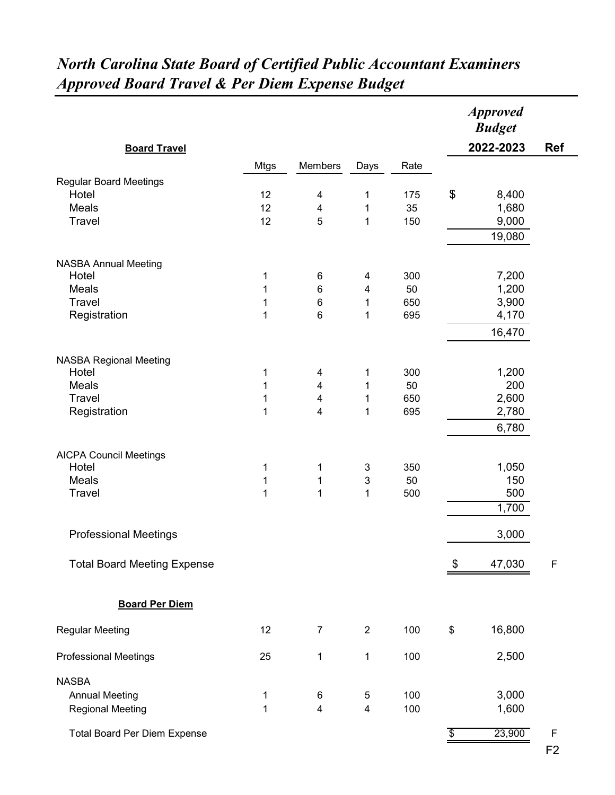| <b>Board Travel</b>                    |              |                         |                           |           |                           | <b>Approved</b><br><b>Budget</b><br>2022-2023 | <b>Ref</b>  |
|----------------------------------------|--------------|-------------------------|---------------------------|-----------|---------------------------|-----------------------------------------------|-------------|
|                                        |              |                         |                           |           |                           |                                               |             |
| <b>Regular Board Meetings</b><br>Hotel | Mtgs         | Members                 | Days                      | Rate      | $\boldsymbol{\mathsf{S}}$ |                                               |             |
| <b>Meals</b>                           | 12<br>12     | 4<br>4                  | $\mathbf 1$<br>1          | 175<br>35 |                           | 8,400<br>1,680                                |             |
| Travel                                 | 12           | 5                       | $\mathbf{1}$              | 150       |                           | 9,000                                         |             |
|                                        |              |                         |                           |           |                           | 19,080                                        |             |
|                                        |              |                         |                           |           |                           |                                               |             |
| <b>NASBA Annual Meeting</b>            |              |                         |                           |           |                           |                                               |             |
| Hotel                                  | 1            | 6                       | 4                         | 300       |                           | 7,200                                         |             |
| <b>Meals</b>                           | $\mathbf{1}$ | $\,6$                   | 4                         | 50        |                           | 1,200                                         |             |
| Travel                                 | $\mathbf 1$  | $\,6$                   | $\mathbf 1$               | 650       |                           | 3,900                                         |             |
| Registration                           | 1            | 6                       | 1                         | 695       |                           | 4,170                                         |             |
|                                        |              |                         |                           |           |                           | 16,470                                        |             |
|                                        |              |                         |                           |           |                           |                                               |             |
| <b>NASBA Regional Meeting</b><br>Hotel | 1            | 4                       | 1                         | 300       |                           | 1,200                                         |             |
| <b>Meals</b>                           | $\mathbf 1$  | 4                       | 1                         | 50        |                           | 200                                           |             |
| Travel                                 | $\mathbf 1$  | $\overline{\mathbf{4}}$ | $\mathbf 1$               | 650       |                           | 2,600                                         |             |
| Registration                           | 1            | 4                       | 1                         | 695       |                           | 2,780                                         |             |
|                                        |              |                         |                           |           |                           | 6,780                                         |             |
|                                        |              |                         |                           |           |                           |                                               |             |
| <b>AICPA Council Meetings</b>          |              |                         |                           |           |                           |                                               |             |
| Hotel                                  | 1            | 1                       | $\ensuremath{\mathsf{3}}$ | 350       |                           | 1,050                                         |             |
| Meals                                  | 1            | $\mathbf{1}$            | $\ensuremath{\mathsf{3}}$ | 50        |                           | 150                                           |             |
| Travel                                 | $\mathbf{1}$ | $\mathbf{1}$            | $\mathbf{1}$              | 500       |                           | 500                                           |             |
|                                        |              |                         |                           |           |                           | 1,700                                         |             |
| <b>Professional Meetings</b>           |              |                         |                           |           |                           | 3,000                                         |             |
|                                        |              |                         |                           |           |                           |                                               |             |
| <b>Total Board Meeting Expense</b>     |              |                         |                           |           | \$                        | 47,030                                        | F           |
| <b>Board Per Diem</b>                  |              |                         |                           |           |                           |                                               |             |
| <b>Regular Meeting</b>                 | 12           | $\overline{7}$          | $\overline{2}$            | 100       | \$                        | 16,800                                        |             |
| <b>Professional Meetings</b>           | 25           | 1                       | $\mathbf 1$               | 100       |                           | 2,500                                         |             |
| <b>NASBA</b>                           |              |                         |                           |           |                           |                                               |             |
| <b>Annual Meeting</b>                  | 1            | 6                       | 5                         | 100       |                           | 3,000                                         |             |
| <b>Regional Meeting</b>                | 1            | $\overline{\mathbf{4}}$ | $\overline{\mathbf{4}}$   | 100       |                           | 1,600                                         |             |
|                                        |              |                         |                           |           |                           |                                               |             |
| <b>Total Board Per Diem Expense</b>    |              |                         |                           |           | \$                        | 23,900                                        | $\mathsf F$ |

## *North Carolina State Board of Certified Public Accountant Examiners Approved Board Travel & Per Diem Expense Budget*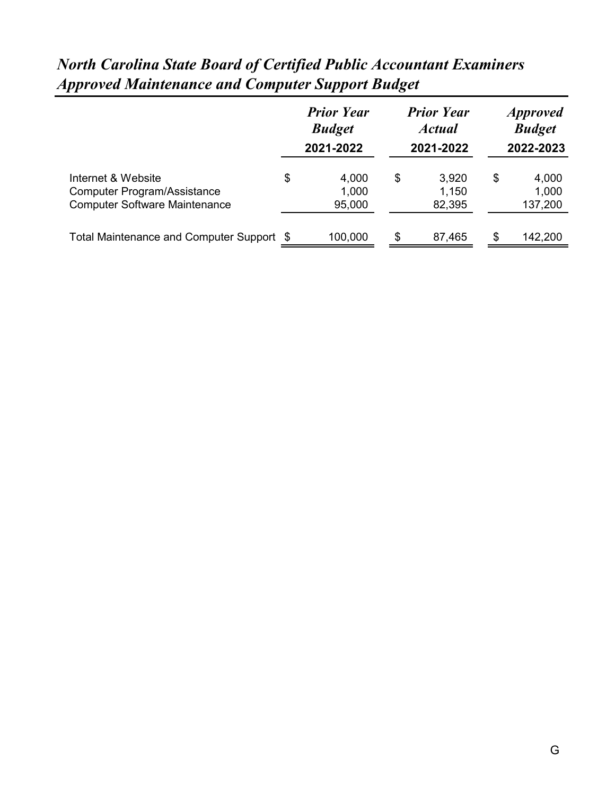|                                                                                                  |    | <b>Prior Year</b><br><b>Budget</b><br>2021-2022 | <b>Prior Year</b><br><b>Actual</b><br>2021-2022 | <i>Approved</i><br><b>Budget</b><br>2022-2023 |                           |  |
|--------------------------------------------------------------------------------------------------|----|-------------------------------------------------|-------------------------------------------------|-----------------------------------------------|---------------------------|--|
| Internet & Website<br><b>Computer Program/Assistance</b><br><b>Computer Software Maintenance</b> | \$ | 4,000<br>1,000<br>95,000                        | \$<br>3,920<br>1,150<br>82,395                  | \$                                            | 4,000<br>1,000<br>137,200 |  |
| Total Maintenance and Computer Support \$                                                        |    | 100,000                                         | \$<br>87,465                                    | \$                                            | 142,200                   |  |

## *North Carolina State Board of Certified Public Accountant Examiners Approved Maintenance and Computer Support Budget*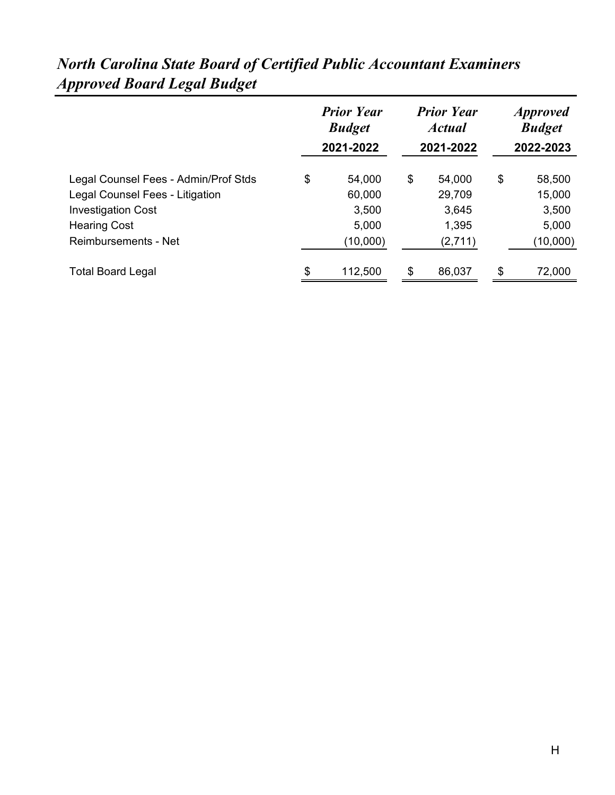|                                                              | <b>Prior Year</b><br><b>Budget</b><br>2021-2022 | <b>Prior Year</b><br><b>Actual</b><br>2021-2022 | <i><b>Approved</b></i><br><b>Budget</b><br>2022-2023 |
|--------------------------------------------------------------|-------------------------------------------------|-------------------------------------------------|------------------------------------------------------|
| Legal Counsel Fees - Admin/Prof Stds                         | \$<br>54,000                                    | \$<br>54,000                                    | \$<br>58,500                                         |
| Legal Counsel Fees - Litigation<br><b>Investigation Cost</b> | 60,000<br>3,500                                 | 29,709<br>3,645                                 | 15,000<br>3,500                                      |
| <b>Hearing Cost</b><br><b>Reimbursements - Net</b>           | 5,000<br>(10,000)                               | 1,395<br>(2,711)                                | 5,000<br>(10,000)                                    |
| <b>Total Board Legal</b>                                     | \$<br>112,500                                   | \$<br>86,037                                    | \$<br>72,000                                         |

# *North Carolina State Board of Certified Public Accountant Examiners Approved Board Legal Budget*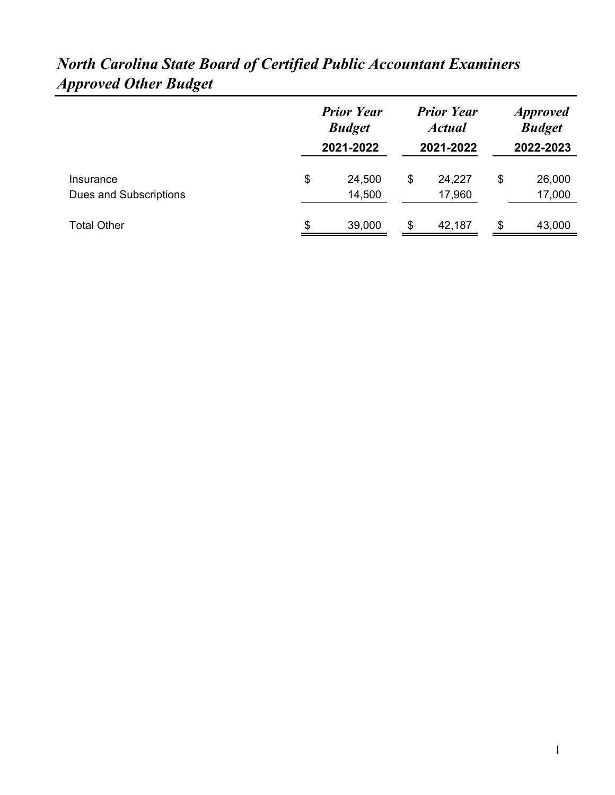|                                     | <b>Prior Year</b><br><b>Budget</b><br>2021-2022 | <b>Prior Year</b><br><b>Actual</b><br>2021-2022 | <i><b>Approved</b></i><br><b>Budget</b><br>2022-2023 |                        |
|-------------------------------------|-------------------------------------------------|-------------------------------------------------|------------------------------------------------------|------------------------|
| Insurance<br>Dues and Subscriptions | \$<br>24,500<br>14,500                          | \$                                              | 24,227<br>17,960                                     | \$<br>26,000<br>17,000 |
| <b>Total Other</b>                  | \$<br>39,000                                    | S                                               | 42,187                                               | \$<br>43,000           |

## *North Carolina State Board of Certified Public Accountant Examiners Approved Other Budget*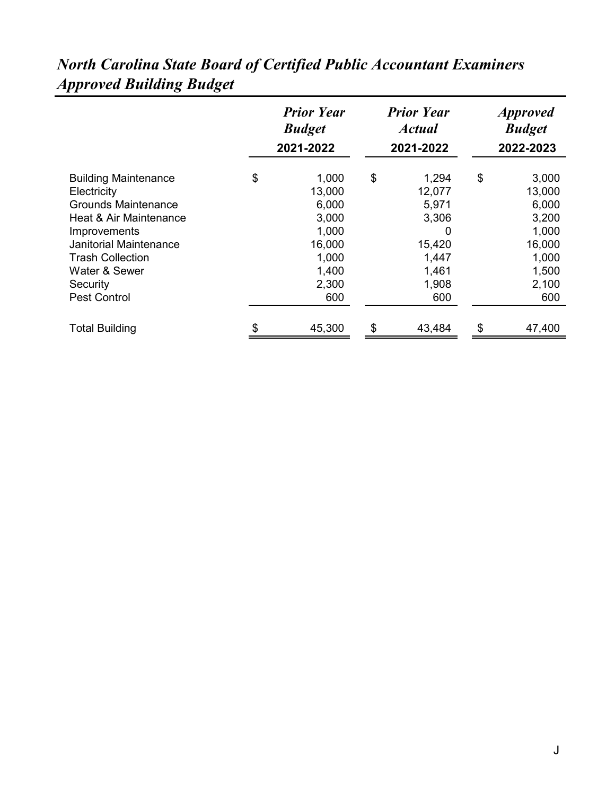|                               | <b>Prior Year</b><br><b>Budget</b><br>2021-2022 | <b>Prior Year</b><br><b>Actual</b><br>2021-2022 | <i>Approved</i><br><b>Budget</b><br>2022-2023 |
|-------------------------------|-------------------------------------------------|-------------------------------------------------|-----------------------------------------------|
| <b>Building Maintenance</b>   | \$<br>1,000                                     | \$<br>1,294                                     | \$<br>3,000                                   |
| Electricity                   | 13,000                                          | 12,077                                          | 13,000                                        |
| <b>Grounds Maintenance</b>    | 6,000                                           | 5,971                                           | 6,000                                         |
| Heat & Air Maintenance        | 3,000                                           | 3,306                                           | 3,200                                         |
| Improvements                  | 1,000                                           | O                                               | 1,000                                         |
| <b>Janitorial Maintenance</b> | 16,000                                          | 15,420                                          | 16,000                                        |
| <b>Trash Collection</b>       | 1,000                                           | 1,447                                           | 1,000                                         |
| Water & Sewer                 | 1,400                                           | 1,461                                           | 1,500                                         |
| Security                      | 2,300                                           | 1,908                                           | 2,100                                         |
| <b>Pest Control</b>           | 600                                             | 600                                             | 600                                           |
| <b>Total Building</b>         | 45,300                                          | \$<br>43,484                                    | \$<br>47,400                                  |

## *North Carolina State Board of Certified Public Accountant Examiners Approved Building Budget*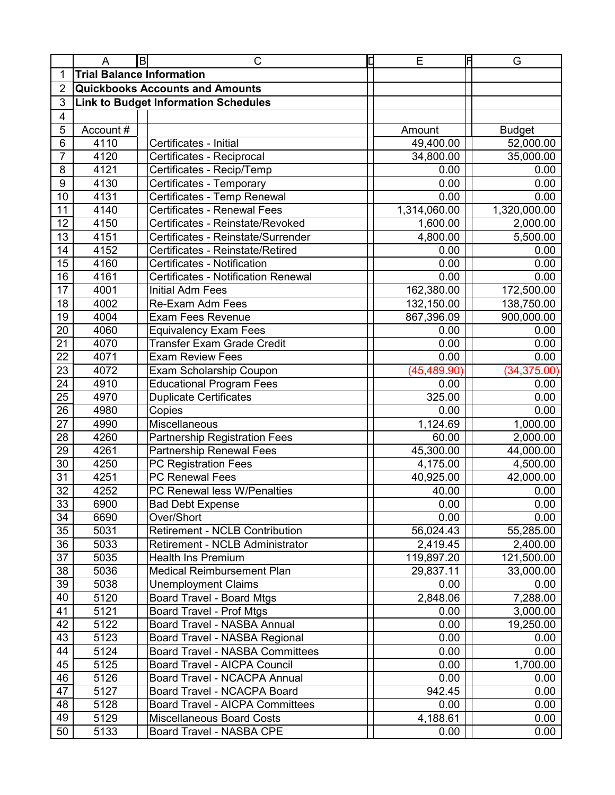|                 | A                                | B | C                                           | C | E            | F | G             |
|-----------------|----------------------------------|---|---------------------------------------------|---|--------------|---|---------------|
| 1               | <b>Trial Balance Information</b> |   |                                             |   |              |   |               |
| $\overline{2}$  |                                  |   | <b>Quickbooks Accounts and Amounts</b>      |   |              |   |               |
| 3               |                                  |   | <b>Link to Budget Information Schedules</b> |   |              |   |               |
| 4               |                                  |   |                                             |   |              |   |               |
| 5               | Account #                        |   |                                             |   | Amount       |   | <b>Budget</b> |
| 6               | 4110                             |   | Certificates - Initial                      |   | 49,400.00    |   | 52,000.00     |
| $\overline{7}$  | 4120                             |   | Certificates - Reciprocal                   |   | 34,800.00    |   | 35,000.00     |
| 8               | 4121                             |   | Certificates - Recip/Temp                   |   | 0.00         |   | 0.00          |
| 9               | 4130                             |   | Certificates - Temporary                    |   | 0.00         |   | 0.00          |
| 10              | 4131                             |   | Certificates - Temp Renewal                 |   | 0.00         |   | 0.00          |
| 11              | 4140                             |   | <b>Certificates - Renewal Fees</b>          |   | 1,314,060.00 |   | 1,320,000.00  |
| 12              | 4150                             |   | Certificates - Reinstate/Revoked            |   | 1,600.00     |   | 2,000.00      |
| 13              | 4151                             |   | Certificates - Reinstate/Surrender          |   | 4,800.00     |   | 5,500.00      |
| 14              | 4152                             |   | Certificates - Reinstate/Retired            |   | 0.00         |   | 0.00          |
| 15              | 4160                             |   | Certificates - Notification                 |   | 0.00         |   | 0.00          |
| 16              | 4161                             |   | <b>Certificates - Notification Renewal</b>  |   | 0.00         |   | 0.00          |
| 17              | 4001                             |   | <b>Initial Adm Fees</b>                     |   | 162,380.00   |   | 172,500.00    |
| 18              | 4002                             |   | <b>Re-Exam Adm Fees</b>                     |   | 132,150.00   |   | 138,750.00    |
| 19              | 4004                             |   | <b>Exam Fees Revenue</b>                    |   | 867,396.09   |   | 900,000.00    |
| 20              | 4060                             |   | <b>Equivalency Exam Fees</b>                |   | 0.00         |   | 0.00          |
| 21              | 4070                             |   | <b>Transfer Exam Grade Credit</b>           |   | 0.00         |   | 0.00          |
| 22              | 4071                             |   | <b>Exam Review Fees</b>                     |   | 0.00         |   | 0.00          |
| 23              | 4072                             |   | Exam Scholarship Coupon                     |   | (45, 489.90) |   | (34, 375.00)  |
| 24              | 4910                             |   | <b>Educational Program Fees</b>             |   | 0.00         |   | 0.00          |
| $\overline{25}$ | 4970                             |   | <b>Duplicate Certificates</b>               |   | 325.00       |   | 0.00          |
| $\overline{26}$ | 4980                             |   | Copies                                      |   | 0.00         |   | 0.00          |
| 27              | 4990                             |   | Miscellaneous                               |   | 1,124.69     |   | 1,000.00      |
| 28              | 4260                             |   | <b>Partnership Registration Fees</b>        |   | 60.00        |   | 2,000.00      |
| 29              | 4261                             |   | <b>Partnership Renewal Fees</b>             |   | 45,300.00    |   | 44,000.00     |
| 30              | 4250                             |   | PC Registration Fees                        |   | 4,175.00     |   | 4,500.00      |
| $\overline{31}$ | 4251                             |   | <b>PC Renewal Fees</b>                      |   | 40,925.00    |   | 42,000.00     |
| $\overline{32}$ | 4252                             |   | PC Renewal less W/Penalties                 |   | 40.00        |   | 0.00          |
| 33              | 6900                             |   | <b>Bad Debt Expense</b>                     |   | 0.00         |   | 0.00          |
| 34              | 6690                             |   | Over/Short                                  |   | 0.00         |   | 0.00          |
| 35              | 5031                             |   | <b>Retirement - NCLB Contribution</b>       |   | 56,024.43    |   | 55,285.00     |
| 36              | 5033                             |   | <b>Retirement - NCLB Administrator</b>      |   | 2,419.45     |   | 2,400.00      |
| 37              | 5035                             |   | <b>Health Ins Premium</b>                   |   | 119,897.20   |   | 121,500.00    |
| 38              | 5036                             |   | <b>Medical Reimbursement Plan</b>           |   | 29,837.11    |   | 33,000.00     |
| 39              | 5038                             |   | <b>Unemployment Claims</b>                  |   | 0.00         |   | 0.00          |
| 40              | 5120                             |   | <b>Board Travel - Board Mtgs</b>            |   | 2,848.06     |   | 7,288.00      |
| 41              | 5121                             |   | <b>Board Travel - Prof Mtgs</b>             |   | 0.00         |   | 3,000.00      |
| 42              | 5122                             |   | Board Travel - NASBA Annual                 |   | 0.00         |   | 19,250.00     |
| 43              | 5123                             |   | Board Travel - NASBA Regional               |   | 0.00         |   | 0.00          |
| 44              | 5124                             |   | <b>Board Travel - NASBA Committees</b>      |   | 0.00         |   | 0.00          |
| 45              | 5125                             |   | <b>Board Travel - AICPA Council</b>         |   | 0.00         |   | 1,700.00      |
| 46              | 5126                             |   | Board Travel - NCACPA Annual                |   | 0.00         |   | 0.00          |
| 47              | 5127                             |   | Board Travel - NCACPA Board                 |   | 942.45       |   | 0.00          |
| 48              | 5128                             |   | <b>Board Travel - AICPA Committees</b>      |   | 0.00         |   | 0.00          |
| 49              | 5129                             |   | <b>Miscellaneous Board Costs</b>            |   | 4,188.61     |   | 0.00          |
| 50              | 5133                             |   | Board Travel - NASBA CPE                    |   | 0.00         |   | 0.00          |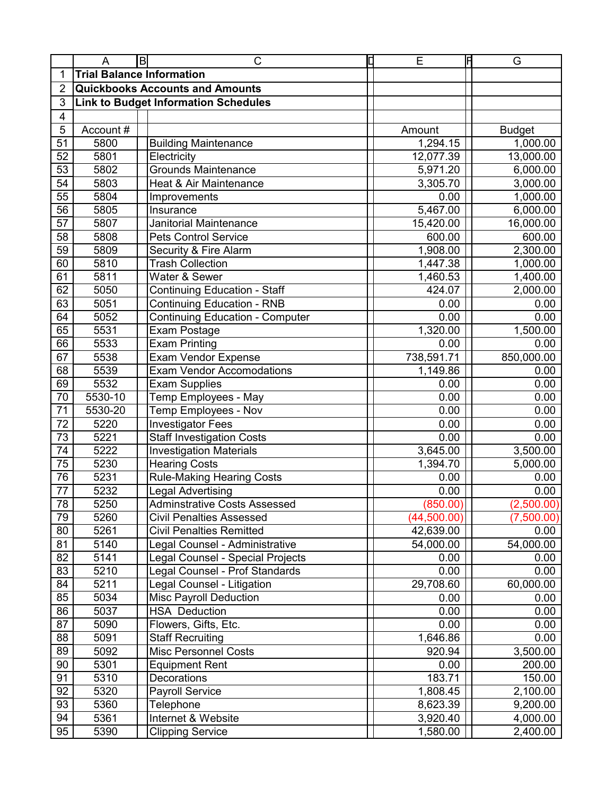|                | A                                | $\mathsf B$ | C                                           | C | E           | F | G             |
|----------------|----------------------------------|-------------|---------------------------------------------|---|-------------|---|---------------|
| 1              | <b>Trial Balance Information</b> |             |                                             |   |             |   |               |
| $\overline{2}$ |                                  |             | <b>Quickbooks Accounts and Amounts</b>      |   |             |   |               |
| 3              |                                  |             | <b>Link to Budget Information Schedules</b> |   |             |   |               |
| 4              |                                  |             |                                             |   |             |   |               |
| 5              | Account#                         |             |                                             |   | Amount      |   | <b>Budget</b> |
| 51             | 5800                             |             | <b>Building Maintenance</b>                 |   | 1,294.15    |   | 1,000.00      |
| 52             | 5801                             |             | Electricity                                 |   | 12,077.39   |   | 13,000.00     |
| 53             | 5802                             |             | <b>Grounds Maintenance</b>                  |   | 5,971.20    |   | 6,000.00      |
| 54             | 5803                             |             | Heat & Air Maintenance                      |   | 3,305.70    |   | 3,000.00      |
| 55             | 5804                             |             | Improvements                                |   | 0.00        |   | 1,000.00      |
| 56             | 5805                             |             | Insurance                                   |   | 5,467.00    |   | 6,000.00      |
| 57             | 5807                             |             | Janitorial Maintenance                      |   | 15,420.00   |   | 16,000.00     |
| 58             | 5808                             |             | <b>Pets Control Service</b>                 |   | 600.00      |   | 600.00        |
| 59             | 5809                             |             | Security & Fire Alarm                       |   | 1,908.00    |   | 2,300.00      |
| 60             | 5810                             |             | <b>Trash Collection</b>                     |   | 1,447.38    |   | 1,000.00      |
| 61             | 5811                             |             | Water & Sewer                               |   | 1,460.53    |   | 1,400.00      |
| 62             | 5050                             |             | <b>Continuing Education - Staff</b>         |   | 424.07      |   | 2,000.00      |
| 63             | 5051                             |             | <b>Continuing Education - RNB</b>           |   | 0.00        |   | 0.00          |
| 64             | 5052                             |             | <b>Continuing Education - Computer</b>      |   | 0.00        |   | 0.00          |
| 65             | 5531                             |             | Exam Postage                                |   | 1,320.00    |   | 1,500.00      |
| 66             | 5533                             |             | <b>Exam Printing</b>                        |   | 0.00        |   | 0.00          |
| 67             | 5538                             |             | <b>Exam Vendor Expense</b>                  |   | 738,591.71  |   | 850,000.00    |
| 68             | 5539                             |             | <b>Exam Vendor Accomodations</b>            |   | 1,149.86    |   | 0.00          |
| 69             | 5532                             |             | <b>Exam Supplies</b>                        |   | 0.00        |   | 0.00          |
| 70             | 5530-10                          |             | Temp Employees - May                        |   | 0.00        |   | 0.00          |
| 71             | 5530-20                          |             | Temp Employees - Nov                        |   | 0.00        |   | 0.00          |
| 72             | 5220                             |             | <b>Investigator Fees</b>                    |   | 0.00        |   | 0.00          |
| 73             | 5221                             |             | <b>Staff Investigation Costs</b>            |   | 0.00        |   | 0.00          |
| 74             | 5222                             |             | <b>Investigation Materials</b>              |   | 3,645.00    |   | 3,500.00      |
| 75             | 5230                             |             | <b>Hearing Costs</b>                        |   | 1,394.70    |   | 5,000.00      |
| 76             | 5231                             |             | <b>Rule-Making Hearing Costs</b>            |   | 0.00        |   | 0.00          |
| 77             | 5232                             |             | Legal Advertising                           |   | 0.00        |   | 0.00          |
| 78             | 5250                             |             | <b>Adminstrative Costs Assessed</b>         |   | (850.00)    |   | (2,500.00)    |
| 79             | 5260                             |             | <b>Civil Penalties Assessed</b>             |   | (44,500.00) |   | (7,500.00)    |
| 80             | 5261                             |             | <b>Civil Penalties Remitted</b>             |   | 42,639.00   |   | 0.00          |
| 81             | 5140                             |             | Legal Counsel - Administrative              |   | 54,000.00   |   | 54,000.00     |
| 82             | 5141                             |             | Legal Counsel - Special Projects            |   | 0.00        |   | 0.00          |
| 83             | 5210                             |             | Legal Counsel - Prof Standards              |   | 0.00        |   | 0.00          |
| 84             | 5211                             |             | Legal Counsel - Litigation                  |   | 29,708.60   |   | 60,000.00     |
| 85             | 5034                             |             | <b>Misc Payroll Deduction</b>               |   | 0.00        |   | 0.00          |
| 86             | 5037                             |             | <b>HSA Deduction</b>                        |   | 0.00        |   | 0.00          |
| 87             | 5090                             |             | Flowers, Gifts, Etc.                        |   | 0.00        |   | 0.00          |
| 88             | 5091                             |             | <b>Staff Recruiting</b>                     |   | 1,646.86    |   | 0.00          |
| 89             | 5092                             |             | <b>Misc Personnel Costs</b>                 |   | 920.94      |   | 3,500.00      |
| 90             | 5301                             |             | <b>Equipment Rent</b>                       |   | 0.00        |   | 200.00        |
| 91             | 5310                             |             | Decorations                                 |   | 183.71      |   | 150.00        |
| 92             | 5320                             |             | <b>Payroll Service</b>                      |   | 1,808.45    |   | 2,100.00      |
| 93             | 5360                             |             | Telephone                                   |   | 8,623.39    |   | 9,200.00      |
| 94             | 5361                             |             | Internet & Website                          |   | 3,920.40    |   | 4,000.00      |
| 95             | 5390                             |             | <b>Clipping Service</b>                     |   | 1,580.00    |   | 2,400.00      |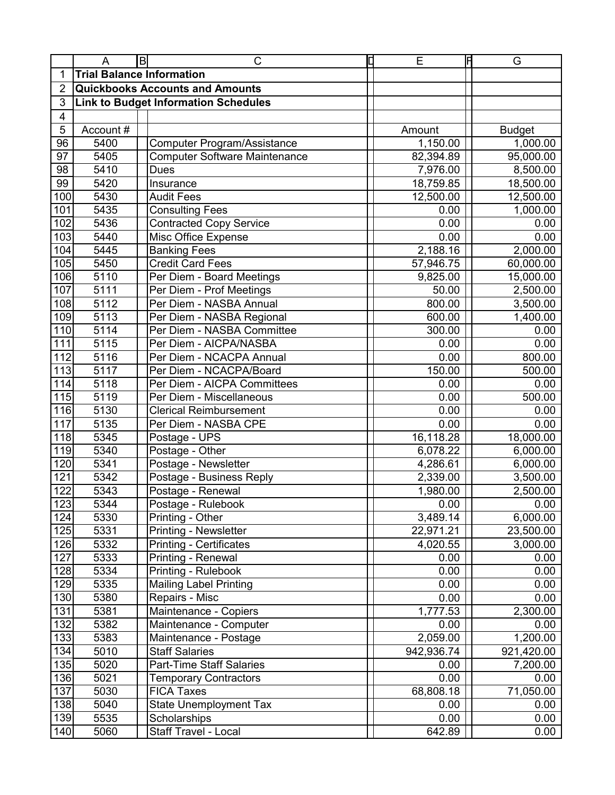|                  | A                                | B | C                                           | Ε          | IF | G             |
|------------------|----------------------------------|---|---------------------------------------------|------------|----|---------------|
|                  | <b>Trial Balance Information</b> |   |                                             |            |    |               |
| 2                |                                  |   | <b>Quickbooks Accounts and Amounts</b>      |            |    |               |
| 3                |                                  |   | <b>Link to Budget Information Schedules</b> |            |    |               |
| 4                |                                  |   |                                             |            |    |               |
| 5                | Account#                         |   |                                             | Amount     |    | <b>Budget</b> |
| 96               | 5400                             |   | <b>Computer Program/Assistance</b>          | 1,150.00   |    | 1,000.00      |
| 97               | 5405                             |   | <b>Computer Software Maintenance</b>        | 82,394.89  |    | 95,000.00     |
| 98               | 5410                             |   | Dues                                        | 7,976.00   |    | 8,500.00      |
| 99               | 5420                             |   | Insurance                                   | 18,759.85  |    | 18,500.00     |
| 100              | 5430                             |   | <b>Audit Fees</b>                           | 12,500.00  |    | 12,500.00     |
| 101              | 5435                             |   | <b>Consulting Fees</b>                      | 0.00       |    | 1,000.00      |
| 102              | 5436                             |   | <b>Contracted Copy Service</b>              | 0.00       |    | 0.00          |
| 103              | 5440                             |   | Misc Office Expense                         | 0.00       |    | 0.00          |
| 104              | 5445                             |   | <b>Banking Fees</b>                         | 2,188.16   |    | 2,000.00      |
| 105              | 5450                             |   | <b>Credit Card Fees</b>                     | 57,946.75  |    | 60,000.00     |
| 106              | 5110                             |   | Per Diem - Board Meetings                   | 9,825.00   |    | 15,000.00     |
| 107              | 5111                             |   | Per Diem - Prof Meetings                    | 50.00      |    | 2,500.00      |
| 108              | 5112                             |   | Per Diem - NASBA Annual                     | 800.00     |    | 3,500.00      |
| 109              | 5113                             |   | Per Diem - NASBA Regional                   | 600.00     |    | 1,400.00      |
| 110              | 5114                             |   | Per Diem - NASBA Committee                  | 300.00     |    | 0.00          |
| 111              | 5115                             |   | Per Diem - AICPA/NASBA                      | 0.00       |    | 0.00          |
| 112              | 5116                             |   | Per Diem - NCACPA Annual                    | 0.00       |    | 800.00        |
| 113              | 5117                             |   | Per Diem - NCACPA/Board                     | 150.00     |    | 500.00        |
| 114              | 5118                             |   | Per Diem - AICPA Committees                 | 0.00       |    | 0.00          |
| 115              | 5119                             |   | Per Diem - Miscellaneous                    | 0.00       |    | 500.00        |
| 116              | 5130                             |   | <b>Clerical Reimbursement</b>               | 0.00       |    | 0.00          |
| 117              | 5135                             |   | Per Diem - NASBA CPE                        | 0.00       |    | 0.00          |
| 118              | 5345                             |   | Postage - UPS                               | 16,118.28  |    | 18,000.00     |
| 119              | 5340                             |   | Postage - Other                             | 6,078.22   |    | 6,000.00      |
| 120              | 5341                             |   | Postage - Newsletter                        | 4,286.61   |    | 6,000.00      |
| 121              | 5342                             |   | Postage - Business Reply                    | 2,339.00   |    | 3,500.00      |
| 122              | 5343                             |   | Postage - Renewal                           | 1,980.00   |    | 2,500.00      |
| 123              | 5344                             |   | Postage - Rulebook                          | 0.00       |    | 0.00          |
| 124              | 5330                             |   | Printing - Other                            | 3,489.14   |    | 6,000.00      |
| 125              | 5331                             |   | <b>Printing - Newsletter</b>                | 22,971.21  |    | 23,500.00     |
| 126              | 5332                             |   | <b>Printing - Certificates</b>              | 4,020.55   |    | 3,000.00      |
| 127              | 5333                             |   | Printing - Renewal                          | 0.00       |    | 0.00          |
| 128              | 5334                             |   | Printing - Rulebook                         | 0.00       |    | 0.00          |
| 129              | 5335                             |   | <b>Mailing Label Printing</b>               | 0.00       |    | 0.00          |
| 130              | 5380                             |   | Repairs - Misc                              | 0.00       |    | 0.00          |
| 131              | 5381                             |   | Maintenance - Copiers                       | 1,777.53   |    | 2,300.00      |
| 132              | 5382                             |   | Maintenance - Computer                      | 0.00       |    | 0.00          |
| 133              | 5383                             |   | Maintenance - Postage                       | 2,059.00   |    | 1,200.00      |
| 134              | 5010                             |   | <b>Staff Salaries</b>                       | 942,936.74 |    | 921,420.00    |
| 135              | 5020                             |   | <b>Part-Time Staff Salaries</b>             | 0.00       |    | 7,200.00      |
| 136              | 5021                             |   | <b>Temporary Contractors</b>                | 0.00       |    | 0.00          |
| $13\overline{7}$ | 5030                             |   | <b>FICA Taxes</b>                           | 68,808.18  |    | 71,050.00     |
| 138              | 5040                             |   | <b>State Unemployment Tax</b>               | 0.00       |    | 0.00          |
| 139              | 5535                             |   | Scholarships                                | 0.00       |    | 0.00          |
| 140              | 5060                             |   | Staff Travel - Local                        | 642.89     |    | 0.00          |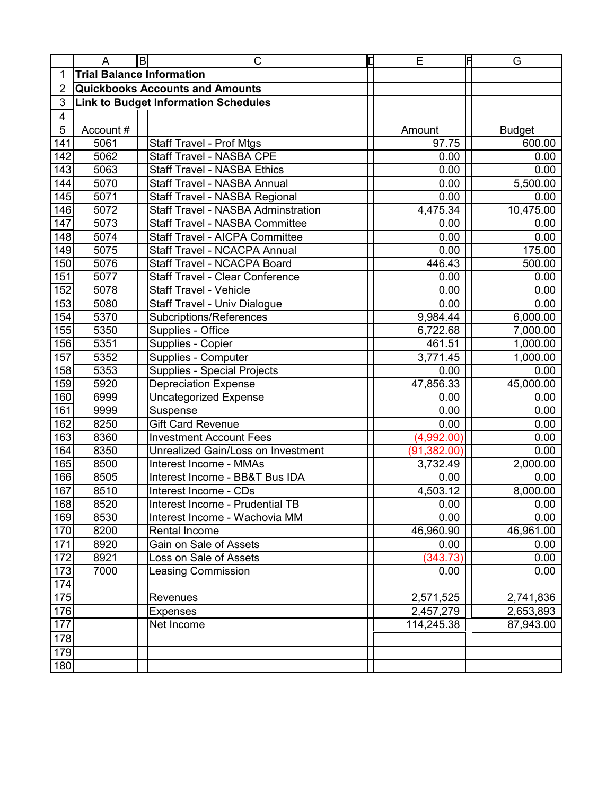|     | A                                | $\mathsf B$ | $\mathsf{C}$                                | О | E            | Ħ | G             |
|-----|----------------------------------|-------------|---------------------------------------------|---|--------------|---|---------------|
| 1   | <b>Trial Balance Information</b> |             |                                             |   |              |   |               |
| 2   |                                  |             | <b>Quickbooks Accounts and Amounts</b>      |   |              |   |               |
| 3   |                                  |             | <b>Link to Budget Information Schedules</b> |   |              |   |               |
| 4   |                                  |             |                                             |   |              |   |               |
| 5   | Account #                        |             |                                             |   | Amount       |   | <b>Budget</b> |
| 141 | 5061                             |             | <b>Staff Travel - Prof Mtgs</b>             |   | 97.75        |   | 600.00        |
| 142 | 5062                             |             | <b>Staff Travel - NASBA CPE</b>             |   | 0.00         |   | 0.00          |
| 143 | 5063                             |             | <b>Staff Travel - NASBA Ethics</b>          |   | 0.00         |   | 0.00          |
| 144 | 5070                             |             | <b>Staff Travel - NASBA Annual</b>          |   | 0.00         |   | 5,500.00      |
| 145 | 5071                             |             | Staff Travel - NASBA Regional               |   | 0.00         |   | 0.00          |
| 146 | 5072                             |             | <b>Staff Travel - NASBA Adminstration</b>   |   | 4,475.34     |   | 10,475.00     |
| 147 | 5073                             |             | <b>Staff Travel - NASBA Committee</b>       |   | 0.00         |   | 0.00          |
| 148 | 5074                             |             | <b>Staff Travel - AICPA Committee</b>       |   | 0.00         |   | 0.00          |
| 149 | 5075                             |             | <b>Staff Travel - NCACPA Annual</b>         |   | 0.00         |   | 175.00        |
| 150 | 5076                             |             | <b>Staff Travel - NCACPA Board</b>          |   | 446.43       |   | 500.00        |
| 151 | 5077                             |             | <b>Staff Travel - Clear Conference</b>      |   | 0.00         |   | 0.00          |
| 152 | 5078                             |             | <b>Staff Travel - Vehicle</b>               |   | 0.00         |   | 0.00          |
| 153 | 5080                             |             | <b>Staff Travel - Univ Dialogue</b>         |   | 0.00         |   | 0.00          |
| 154 | 5370                             |             | Subcriptions/References                     |   | 9,984.44     |   | 6,000.00      |
| 155 | 5350                             |             | Supplies - Office                           |   | 6,722.68     |   | 7,000.00      |
| 156 | 5351                             |             | Supplies - Copier                           |   | 461.51       |   | 1,000.00      |
| 157 | 5352                             |             | Supplies - Computer                         |   | 3,771.45     |   | 1,000.00      |
| 158 | 5353                             |             | <b>Supplies - Special Projects</b>          |   | 0.00         |   | 0.00          |
| 159 | 5920                             |             | <b>Depreciation Expense</b>                 |   | 47,856.33    |   | 45,000.00     |
| 160 | 6999                             |             | <b>Uncategorized Expense</b>                |   | 0.00         |   | 0.00          |
| 161 | 9999                             |             | Suspense                                    |   | 0.00         |   | 0.00          |
| 162 | 8250                             |             | <b>Gift Card Revenue</b>                    |   | 0.00         |   | 0.00          |
| 163 | 8360                             |             | <b>Investment Account Fees</b>              |   | (4,992.00)   |   | 0.00          |
| 164 | 8350                             |             | <b>Unrealized Gain/Loss on Investment</b>   |   | (91, 382.00) |   | 0.00          |
| 165 | 8500                             |             | Interest Income - MMAs                      |   | 3,732.49     |   | 2,000.00      |
| 166 | 8505                             |             | Interest Income - BB&T Bus IDA              |   | 0.00         |   | 0.00          |
| 167 | 8510                             |             | Interest Income - CDs                       |   | 4,503.12     |   | 8,000.00      |
| 168 | 8520                             |             | Interest Income - Prudential TB             |   | 0.00         |   | 0.00          |
| 169 | 8530                             |             | Interest Income - Wachovia MM               |   | 0.00         |   | 0.00          |
| 170 | 8200                             |             | Rental Income                               |   | 46,960.90    |   | 46,961.00     |
| 171 | 8920                             |             | Gain on Sale of Assets                      |   | 0.00         |   | 0.00          |
| 172 | 8921                             |             | Loss on Sale of Assets                      |   | (343.73)     |   | 0.00          |
| 173 | 7000                             |             | <b>Leasing Commission</b>                   |   | 0.00         |   | 0.00          |
| 174 |                                  |             |                                             |   |              |   |               |
| 175 |                                  |             | Revenues                                    |   | 2,571,525    |   | 2,741,836     |
| 176 |                                  |             | <b>Expenses</b>                             |   | 2,457,279    |   | 2,653,893     |
| 177 |                                  |             | Net Income                                  |   | 114,245.38   |   | 87,943.00     |
| 178 |                                  |             |                                             |   |              |   |               |
| 179 |                                  |             |                                             |   |              |   |               |
| 180 |                                  |             |                                             |   |              |   |               |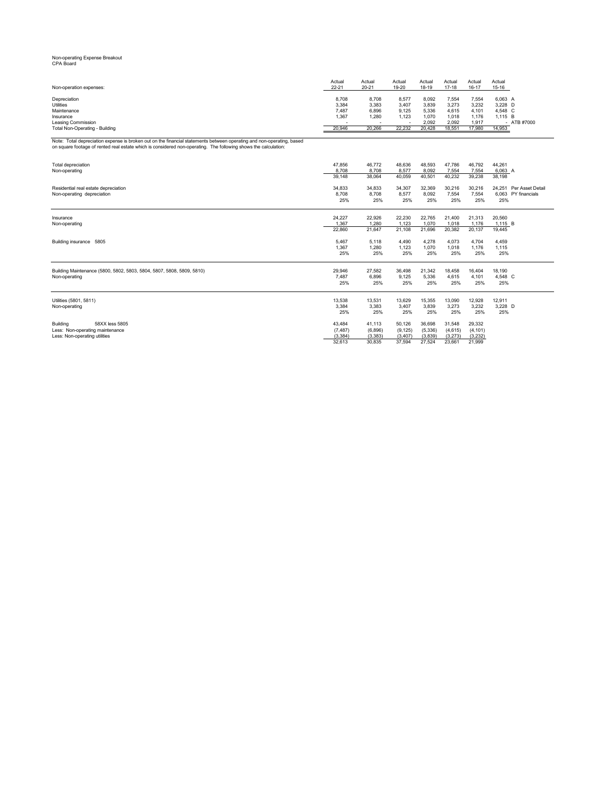#### Non-operating Expense Breakout CPA Board

| Actual<br>$22 - 21$ | Actual<br>$20 - 21$      | Actual<br>19-20 | Actual<br>18-19 | Actual<br>$17 - 18$ | Actual<br>16-17 | Actual<br>15-16 |               |
|---------------------|--------------------------|-----------------|-----------------|---------------------|-----------------|-----------------|---------------|
| 8.708               | 8,708                    | 8.577           | 8,092           | 7.554               | 7.554           | 6.063 A         |               |
| 3,384               | 3,383                    | 3,407           | 3,839           | 3,273               | 3,232           | 3,228 D         |               |
| 7,487               | 6,896                    | 9.125           | 5,336           | 4,615               | 4,101           | 4.548 C         |               |
| 1,367               | 1,280                    | 1.123           | 1,070           | 1,018               | 1,176           | 1.115 B         |               |
|                     | $\overline{\phantom{a}}$ |                 | 2.092           | 2,092               | 1.917           |                 | $-$ ATB #7000 |
| 20,946              | 20.266                   | 22.232          | 20.428          | 18.551              | 17.980          | 14,953          |               |
|                     |                          |                 |                 |                     |                 |                 |               |

Note: Total depreciation expense is broken out on the financial statements between operating and non-operating, based<br>on square footage of rented real estate which is considered non-operating. The following shows the cal

| Total depreciation                                                    | 47.856   | 46.772   | 48,636   | 48,593   | 47.786   | 46.792   | 44.261                  |
|-----------------------------------------------------------------------|----------|----------|----------|----------|----------|----------|-------------------------|
| Non-operating                                                         | 8.708    | 8.708    | 8.577    | 8.092    | 7.554    | 7.554    | 6,063 A                 |
|                                                                       | 39,148   | 38,064   | 40,059   | 40,501   | 40,232   | 39,238   | 38,198                  |
|                                                                       |          |          |          |          |          |          |                         |
| Residential real estate depreciation                                  | 34,833   | 34,833   | 34,307   | 32,369   | 30,216   | 30,216   | 24.251 Per Asset Detail |
| Non-operating depreciation                                            | 8.708    | 8,708    | 8,577    | 8,092    | 7,554    | 7,554    | 6.063 PY financials     |
|                                                                       | 25%      | 25%      | 25%      | 25%      | 25%      | 25%      | 25%                     |
|                                                                       |          |          |          |          |          |          |                         |
| Insurance                                                             | 24.227   | 22,926   | 22,230   | 22,765   | 21,400   | 21,313   | 20,560                  |
| Non-operating                                                         | 1.367    | 1.280    | 1,123    | 1.070    | 1.018    | 1.176    | 1,115 B                 |
|                                                                       | 22,860   | 21,647   | 21,108   | 21,696   | 20,382   | 20,137   | 19,445                  |
|                                                                       |          |          |          |          |          |          |                         |
| Building insurance 5805                                               | 5.467    | 5,118    | 4,490    | 4,278    | 4,073    | 4,704    | 4,459                   |
|                                                                       | 1.367    | 1,280    | 1,123    | 1,070    | 1,018    | 1.176    | 1,115                   |
|                                                                       | 25%      | 25%      | 25%      | 25%      | 25%      | 25%      | 25%                     |
|                                                                       |          |          |          |          |          |          |                         |
| Building Maintenance (5800, 5802, 5803, 5804, 5807, 5808, 5809, 5810) | 29,946   | 27,582   | 36,498   | 21,342   | 18,458   | 16,404   | 18.190                  |
| Non-operating                                                         | 7,487    | 6,896    | 9,125    | 5,336    | 4,615    | 4,101    | 4,548 C                 |
|                                                                       | 25%      | 25%      | 25%      | 25%      | 25%      | 25%      | 25%                     |
|                                                                       |          |          |          |          |          |          |                         |
|                                                                       |          |          |          |          |          |          |                         |
| Utilities (5801, 5811)                                                | 13,538   | 13,531   | 13,629   | 15,355   | 13,090   | 12,928   | 12,911                  |
| Non-operating                                                         | 3,384    | 3,383    | 3,407    | 3,839    | 3,273    | 3,232    | 3,228 D                 |
|                                                                       | 25%      | 25%      | 25%      | 25%      | 25%      | 25%      | 25%                     |
| 58XX less 5805<br>Building                                            | 43.484   | 41.113   | 50,126   | 36,698   | 31,548   | 29,332   |                         |
| Less: Non-operating maintenance                                       | (7, 487) | (6,896)  | (9, 125) | (5, 336) | (4, 615) | (4, 101) |                         |
| Less: Non-operating utilities                                         | (3, 384) | (3, 383) | (3, 407) | (3,839)  | (3.273)  | (3,232)  |                         |
|                                                                       | 32.613   | 30.835   | 37.594   | 27.524   | 23.661   | 21.999   |                         |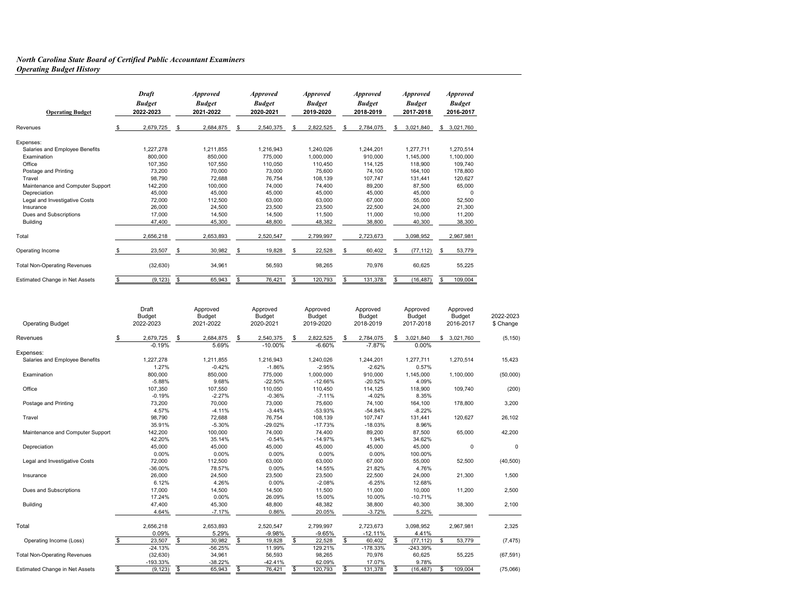#### *North Carolina State Board of Certified Public Accountant Examiners Operating Budget History*

| <b>Operating Budget</b>             | <b>Draft</b><br><b>Budget</b><br>2022-2023 | <b>Approved</b><br><b>Budget</b><br>2021-2022 |    | <i><b>Approved</b></i><br><b>Budget</b><br>2020-2021 | <i><b>Approved</b></i><br><b>Budget</b><br>2019-2020 |    | <b>Approved</b><br><b>Budget</b><br>2018-2019 |   | <i><b>Approved</b></i><br><b>Budget</b><br>2017-2018 |     | <b>Approved</b><br><b>Budget</b><br>2016-2017 |
|-------------------------------------|--------------------------------------------|-----------------------------------------------|----|------------------------------------------------------|------------------------------------------------------|----|-----------------------------------------------|---|------------------------------------------------------|-----|-----------------------------------------------|
| Revenues                            | \$<br>2,679,725                            | \$<br>2,684,875                               | S  | 2,540,375                                            | \$<br>2,822,525                                      | S  | 2,784,075                                     | S | 3,021,840                                            | \$  | 3,021,760                                     |
| Expenses:                           |                                            |                                               |    |                                                      |                                                      |    |                                               |   |                                                      |     |                                               |
| Salaries and Employee Benefits      | 1.227.278                                  | 1.211.855                                     |    | 1.216.943                                            | 1.240.026                                            |    | 1.244.201                                     |   | 1.277.711                                            |     | 1.270.514                                     |
| Examination                         | 800,000                                    | 850,000                                       |    | 775,000                                              | 1,000,000                                            |    | 910,000                                       |   | 1,145,000                                            |     | 1,100,000                                     |
| Office                              | 107,350                                    | 107.550                                       |    | 110.050                                              | 110.450                                              |    | 114.125                                       |   | 118,900                                              |     | 109.740                                       |
| Postage and Printing                | 73,200                                     | 70.000                                        |    | 73.000                                               | 75.600                                               |    | 74.100                                        |   | 164,100                                              |     | 178,800                                       |
| Travel                              | 98,790                                     | 72,688                                        |    | 76.754                                               | 108,139                                              |    | 107.747                                       |   | 131,441                                              |     | 120,627                                       |
| Maintenance and Computer Support    | 142,200                                    | 100,000                                       |    | 74.000                                               | 74.400                                               |    | 89.200                                        |   | 87,500                                               |     | 65,000                                        |
| Depreciation                        | 45.000                                     | 45,000                                        |    | 45.000                                               | 45.000                                               |    | 45.000                                        |   | 45,000                                               |     | $\Omega$                                      |
| Legal and Investigative Costs       | 72,000                                     | 112,500                                       |    | 63,000                                               | 63,000                                               |    | 67.000                                        |   | 55,000                                               |     | 52,500                                        |
| Insurance                           | 26,000                                     | 24,500                                        |    | 23.500                                               | 23.500                                               |    | 22,500                                        |   | 24,000                                               |     | 21,300                                        |
| Dues and Subscriptions              | 17,000                                     | 14,500                                        |    | 14,500                                               | 11,500                                               |    | 11,000                                        |   | 10,000                                               |     | 11,200                                        |
| Building                            | 47,400                                     | 45,300                                        |    | 48,800                                               | 48,382                                               |    | 38,800                                        |   | 40,300                                               |     | 38,300                                        |
| Total                               | 2.656.218                                  | 2.653.893                                     |    | 2,520,547                                            | 2,799,997                                            |    | 2,723,673                                     |   | 3,098,952                                            |     | 2,967,981                                     |
| Operating Income                    | \$<br>23,507                               | \$<br>30,982                                  | \$ | 19,828                                               | \$<br>22,528                                         | \$ | 60,402                                        |   | (77, 112)                                            | \$. | 53,779                                        |
| <b>Total Non-Operating Revenues</b> | (32, 630)                                  | 34,961                                        |    | 56,593                                               | 98,265                                               |    | 70,976                                        |   | 60,625                                               |     | 55,225                                        |
| Estimated Change in Net Assets      | \$<br>(9, 123)                             | \$<br>65,943                                  | S  | 76,421                                               | \$<br>120,793                                        | \$ | 131,378                                       | S | (16, 487)                                            | s   | 109.004                                       |

| <b>Operating Budget</b>             | Draft<br><b>Budget</b><br>2022-2023 | Approved<br>Budget<br>2021-2022 | Approved<br><b>Budget</b><br>2020-2021 | Approved<br><b>Budget</b><br>2019-2020 | Approved<br>Budget<br>2018-2019 |                          | Approved<br><b>Budget</b><br>2017-2018 |          | Approved<br><b>Budget</b><br>2016-2017 | 2022-2023<br>\$ Change |
|-------------------------------------|-------------------------------------|---------------------------------|----------------------------------------|----------------------------------------|---------------------------------|--------------------------|----------------------------------------|----------|----------------------------------------|------------------------|
| Revenues                            | 2,679,725<br>$-0.19%$               | s.<br>2,684,875<br>5.69%        | \$<br>2,540,375<br>$-10.00%$           | \$<br>2,822,525<br>$-6.60%$            | \$<br>2,784,075<br>$-7.87%$     | \$                       | 3,021,840<br>0.00%                     |          | \$3,021,760                            | (5, 150)               |
| Expenses:                           |                                     |                                 |                                        |                                        |                                 |                          |                                        |          |                                        |                        |
| Salaries and Employee Benefits      | 1,227,278                           | 1,211,855                       | 1,216,943                              | 1,240,026                              | 1,244,201                       |                          | 1,277,711                              |          | 1,270,514                              | 15,423                 |
|                                     | 1.27%                               | $-0.42%$                        | $-1.86%$                               | $-2.95%$                               | $-2.62%$                        |                          | 0.57%                                  |          |                                        |                        |
| Examination                         | 800,000                             | 850,000                         | 775,000                                | 1,000,000                              | 910,000                         |                          | 1,145,000                              |          | 1,100,000                              | (50,000)               |
|                                     | $-5.88%$                            | 9.68%                           | $-22.50%$                              | $-12.66%$                              | $-20.52%$                       |                          | 4.09%                                  |          |                                        |                        |
| Office                              | 107,350                             | 107,550                         | 110,050                                | 110,450                                | 114,125                         |                          | 118,900                                |          | 109,740                                | (200)                  |
|                                     | $-0.19%$                            | $-2.27%$                        | $-0.36%$                               | $-7.11%$                               | $-4.02%$                        |                          | 8.35%                                  |          |                                        |                        |
| Postage and Printing                | 73,200                              | 70,000                          | 73,000                                 | 75,600                                 | 74,100                          |                          | 164,100                                |          | 178,800                                | 3,200                  |
|                                     | 4.57%                               | $-4.11%$                        | $-3.44%$                               | $-53.93%$                              | $-54.84%$                       |                          | $-8.22%$                               |          |                                        |                        |
| Travel                              | 98,790                              | 72,688                          | 76,754                                 | 108,139                                | 107,747                         |                          | 131,441                                |          | 120,627                                | 26,102                 |
|                                     | 35.91%                              | $-5.30%$                        | $-29.02%$                              | $-17.73%$                              | $-18.03%$                       |                          | 8.96%                                  |          |                                        |                        |
| Maintenance and Computer Support    | 142,200                             | 100,000                         | 74,000                                 | 74,400                                 | 89,200                          |                          | 87,500                                 |          | 65,000                                 | 42,200                 |
|                                     | 42.20%                              | 35.14%                          | $-0.54%$                               | $-14.97%$                              | 1.94%                           |                          | 34.62%                                 |          |                                        |                        |
| Depreciation                        | 45,000                              | 45,000                          | 45,000                                 | 45,000                                 | 45,000                          |                          | 45,000                                 |          | 0                                      | $\mathbf 0$            |
|                                     | 0.00%                               | 0.00%                           | 0.00%                                  | 0.00%                                  | 0.00%                           |                          | 100.00%                                |          |                                        |                        |
| Legal and Investigative Costs       | 72,000                              | 112,500                         | 63,000                                 | 63,000                                 | 67,000                          |                          | 55,000                                 |          | 52,500                                 | (40, 500)              |
|                                     | $-36.00%$                           | 78.57%                          | 0.00%                                  | 14.55%                                 | 21.82%                          |                          | 4.76%                                  |          |                                        |                        |
| Insurance                           | 26,000                              | 24,500                          | 23,500                                 | 23,500                                 | 22,500                          |                          | 24,000                                 |          | 21,300                                 | 1,500                  |
|                                     | 6.12%                               | 4.26%                           | 0.00%                                  | $-2.08%$                               | $-6.25%$                        |                          | 12.68%                                 |          |                                        |                        |
| Dues and Subscriptions              | 17,000                              | 14,500                          | 14,500                                 | 11,500                                 | 11,000                          |                          | 10,000                                 |          | 11,200                                 | 2,500                  |
|                                     | 17.24%                              | 0.00%                           | 26.09%                                 | 15.00%                                 | 10.00%                          |                          | $-10.71%$                              |          |                                        |                        |
| Building                            | 47,400                              | 45,300                          | 48,800                                 | 48,382                                 | 38,800                          |                          | 40,300                                 |          | 38,300                                 | 2,100                  |
|                                     | 4.64%                               | $-7.17%$                        | 0.86%                                  | 20.05%                                 | $-3.72%$                        |                          | 5.22%                                  |          |                                        |                        |
| Total                               | 2,656,218                           | 2,653,893                       | 2,520,547                              | 2,799,997                              | 2,723,673                       |                          | 3,098,952                              |          | 2,967,981                              | 2,325                  |
|                                     | 0.09%                               | 5.29%                           | $-9.98%$                               | $-9.65%$                               | $-12.11%$                       |                          | 4.41%                                  |          |                                        |                        |
| Operating Income (Loss)             | 23,507<br>\$                        | \$<br>30,982                    | \$<br>19,828                           | \$<br>22,528                           | \$<br>60,402                    | $\overline{\mathcal{S}}$ | (77, 112)                              | <b>S</b> | 53,779                                 | (7, 475)               |
|                                     | $-24.13%$                           | $-56.25%$                       | 11.99%                                 | 129.21%                                | $-178.33%$                      |                          | $-243.39%$                             |          |                                        |                        |
| <b>Total Non-Operating Revenues</b> | (32, 630)                           | 34,961                          | 56,593                                 | 98,265                                 | 70,976                          |                          | 60,625                                 |          | 55,225                                 | (67, 591)              |
|                                     | $-193.33%$                          | $-38.22%$                       | $-42.41%$                              | 62.09%                                 | 17.07%                          |                          | 9.78%                                  |          |                                        |                        |
| Estimated Change in Net Assets      | \$<br>(9, 123)                      | \$<br>65,943                    | \$<br>76,421                           | \$<br>120,793                          | \$<br>131,378                   |                          | (16, 487)                              | \$       | 109,004                                | (75,066)               |